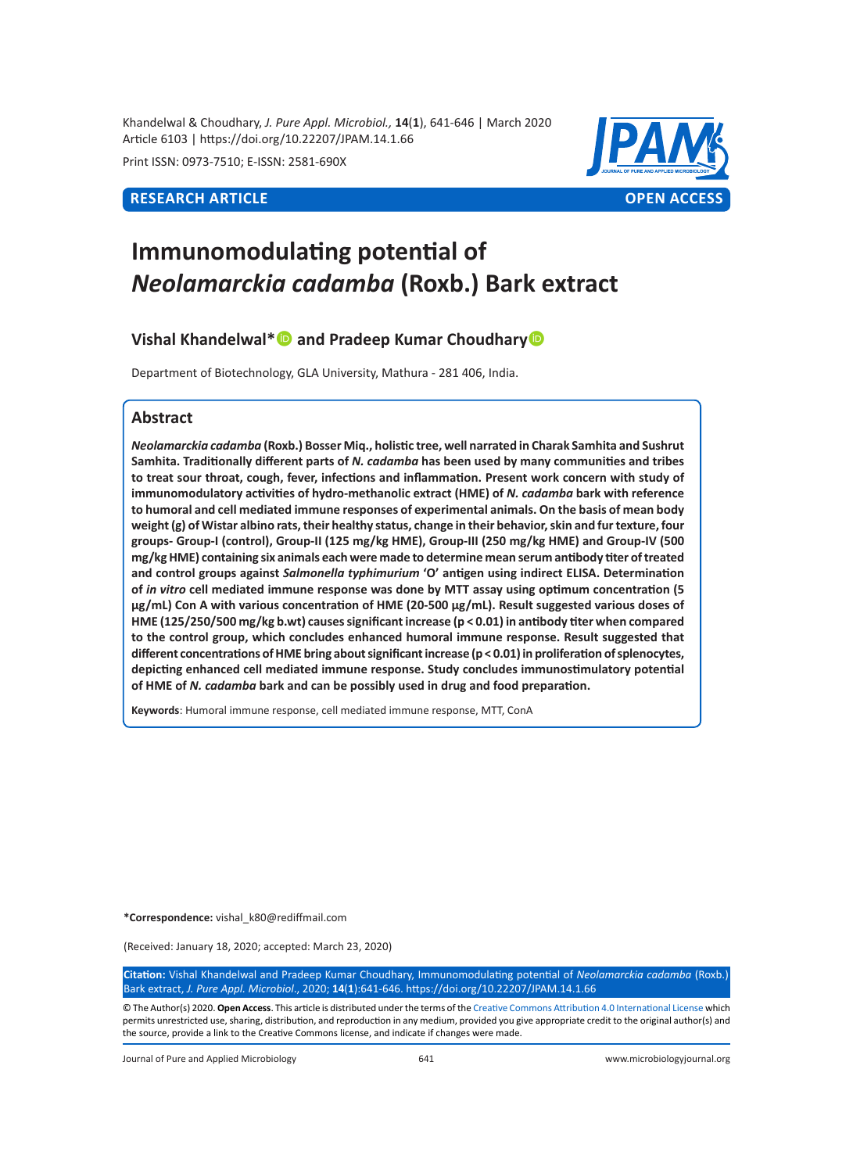Khandelwal & Choudhary, *J. Pure Appl. Microbiol.,* **14**(**1**), 641-646 | March 2020 Article 6103 | https://doi.org/10.22207/JPAM.14.1.66

Print ISSN: 0973-7510; E-ISSN: 2581-690X



# **Immunomodulating potential of**  *Neolamarckia cadamba* **(Roxb.) Bark extract**

# **Vishal Khandelwal\*** and Pradeep Kumar Choudhary

Department of Biotechnology, GLA University, Mathura - 281 406, India.

# **Abstract**

*Neolamarckia cadamba* **(Roxb.) Bosser Miq., holistic tree, well narrated in Charak Samhita and Sushrut Samhita. Traditionally different parts of** *N. cadamba* **has been used by many communities and tribes to treat sour throat, cough, fever, infections and inflammation. Present work concern with study of immunomodulatory activities of hydro-methanolic extract (HME) of** *N. cadamba* **bark with reference to humoral and cell mediated immune responses of experimental animals. On the basis of mean body weight (g) of Wistar albino rats, their healthy status, change in their behavior, skin and fur texture, four groups- Group-I (control), Group-II (125 mg/kg HME), Group-III (250 mg/kg HME) and Group-IV (500 mg/kg HME) containing six animals each were made to determine mean serum antibody titer of treated and control groups against** *Salmonella typhimurium* **'O' antigen using indirect ELISA. Determination of** *in vitro* **cell mediated immune response was done by MTT assay using optimum concentration (5 µg/mL) Con A with various concentration of HME (20-500 µg/mL). Result suggested various doses of HME (125/250/500 mg/kg b.wt) causes significant increase (p < 0.01) in antibody titer when compared to the control group, which concludes enhanced humoral immune response. Result suggested that different concentrations of HME bring about significant increase (p < 0.01) in proliferation of splenocytes, depicting enhanced cell mediated immune response. Study concludes immunostimulatory potential of HME of** *N. cadamba* **bark and can be possibly used in drug and food preparation.**

**Keywords**: Humoral immune response, cell mediated immune response, MTT, ConA

**\*Correspondence:** vishal\_k80@rediffmail.com

(Received: January 18, 2020; accepted: March 23, 2020)

**Citation:** Vishal Khandelwal and Pradeep Kumar Choudhary, Immunomodulating potential of *Neolamarckia cadamba* (Roxb.) Bark extract, *J. Pure Appl. Microbiol*., 2020; **14**(**1**):641-646. https://doi.org/10.22207/JPAM.14.1.66

© The Author(s) 2020. **Open Access**. This article is distributed under the terms of the [Creative Commons Attribution 4.0 International License](https://creativecommons.org/licenses/by/4.0/) which permits unrestricted use, sharing, distribution, and reproduction in any medium, provided you give appropriate credit to the original author(s) and the source, provide a link to the Creative Commons license, and indicate if changes were made.

Journal of Pure and Applied Microbiology 641 www.microbiologyjournal.org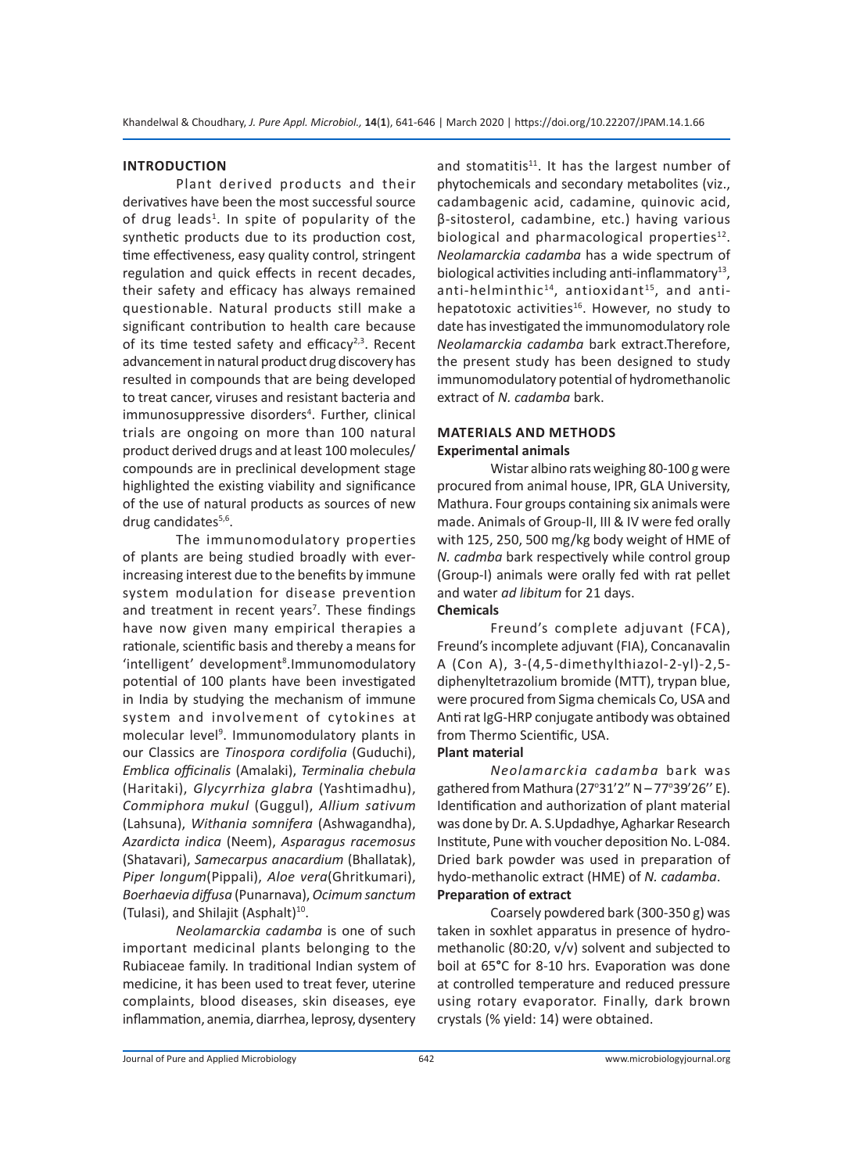#### **INTRODUCTION**

Plant derived products and their derivatives have been the most successful source of drug leads<sup>1</sup>. In spite of popularity of the synthetic products due to its production cost, time effectiveness, easy quality control, stringent regulation and quick effects in recent decades, their safety and efficacy has always remained questionable. Natural products still make a significant contribution to health care because of its time tested safety and efficacy<sup>2,3</sup>. Recent advancement in natural product drug discovery has resulted in compounds that are being developed to treat cancer, viruses and resistant bacteria and immunosuppressive disorders<sup>4</sup>. Further, clinical trials are ongoing on more than 100 natural product derived drugs and at least 100 molecules/ compounds are in preclinical development stage highlighted the existing viability and significance of the use of natural products as sources of new drug candidates<sup>5,6</sup>.

The immunomodulatory properties of plants are being studied broadly with everincreasing interest due to the benefits by immune system modulation for disease prevention and treatment in recent years<sup>7</sup>. These findings have now given many empirical therapies a rationale, scientific basis and thereby a means for 'intelligent' development<sup>8</sup>. Immunomodulatory potential of 100 plants have been investigated in India by studying the mechanism of immune system and involvement of cytokines at molecular level<sup>9</sup>. Immunomodulatory plants in our Classics are *Tinospora cordifolia* (Guduchi), *Emblica officinalis* (Amalaki), *Terminalia chebula*  (Haritaki), *Glycyrrhiza glabra* (Yashtimadhu), *Commiphora mukul* (Guggul), *Allium sativum* (Lahsuna), *Withania somnifera* (Ashwagandha), *Azardicta indica* (Neem), *Asparagus racemosus* (Shatavari), *Samecarpus anacardium* (Bhallatak), *Piper longum*(Pippali), *Aloe vera*(Ghritkumari), *Boerhaevia diffusa* (Punarnava), *Ocimum sanctum* (Tulasi), and Shilajit (Asphalt)<sup>10</sup>.

*Neolamarckia cadamba* is one of such important medicinal plants belonging to the Rubiaceae family. In traditional Indian system of medicine, it has been used to treat fever, uterine complaints, blood diseases, skin diseases, eye inflammation, anemia, diarrhea, leprosy, dysentery and stomatitis<sup>11</sup>. It has the largest number of phytochemicals and secondary metabolites (viz., cadambagenic acid, cadamine, quinovic acid, β-sitosterol, cadambine, etc.) having various biological and pharmacological properties $12$ . *Neolamarckia cadamba* has a wide spectrum of biological activities including anti-inflammatory<sup>13</sup>, anti-helminthic $^{14}$ , antioxidant $^{15}$ , and antihepatotoxic activities<sup>16</sup>. However, no study to date has investigated the immunomodulatory role *Neolamarckia cadamba* bark extract.Therefore, the present study has been designed to study immunomodulatory potential of hydromethanolic extract of *N. cadamba* bark.

# **MATERIALS AND METHODS Experimental animals**

Wistar albino rats weighing 80-100 g were procured from animal house, IPR, GLA University, Mathura. Four groups containing six animals were made. Animals of Group-II, III & IV were fed orally with 125, 250, 500 mg/kg body weight of HME of *N. cadmba* bark respectively while control group (Group-I) animals were orally fed with rat pellet and water *ad libitum* for 21 days. **Chemicals**

Freund's complete adjuvant (FCA), Freund's incomplete adjuvant (FIA), Concanavalin A (Con A), 3-(4,5-dimethylthiazol-2-yl)-2,5 diphenyltetrazolium bromide (MTT), trypan blue, were procured from Sigma chemicals Co, USA and Anti rat IgG-HRP conjugate antibody was obtained from Thermo Scientific, USA.

## **Plant material**

*Neolamarckia cadamba* bark was gathered from Mathura (27°31'2" N – 77°39'26" E). Identification and authorization of plant material was done by Dr. A. S.Updadhye, Agharkar Research Institute, Pune with voucher deposition No. L-084. Dried bark powder was used in preparation of hydo-methanolic extract (HME) of *N. cadamba*. **Preparation of extract**

Coarsely powdered bark (300-350 g) was taken in soxhlet apparatus in presence of hydromethanolic (80:20, v/v) solvent and subjected to boil at 65**°**C for 8-10 hrs. Evaporation was done at controlled temperature and reduced pressure using rotary evaporator. Finally, dark brown crystals (% yield: 14) were obtained.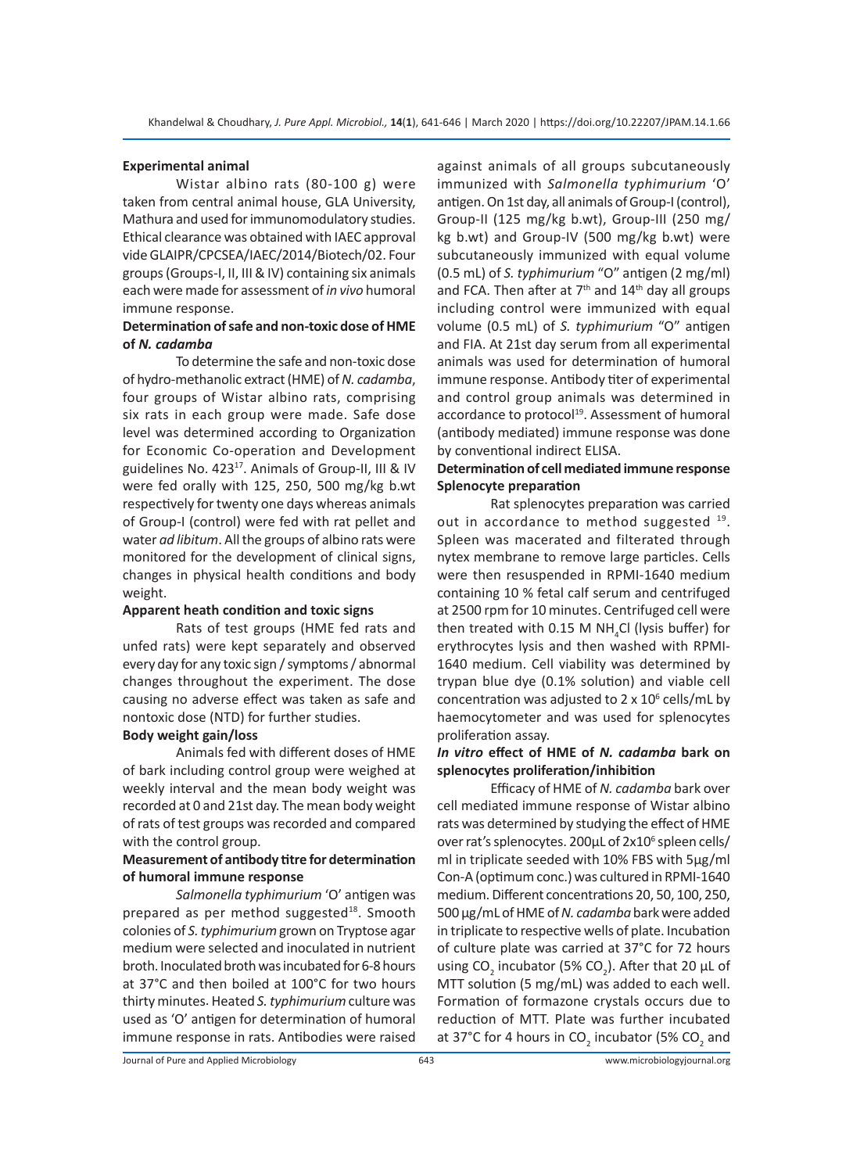#### **Experimental animal**

Wistar albino rats (80-100 g) were taken from central animal house, GLA University, Mathura and used for immunomodulatory studies. Ethical clearance was obtained with IAEC approval vide GLAIPR/CPCSEA/IAEC/2014/Biotech/02. Four groups (Groups-I, II, III & IV) containing six animals each were made for assessment of *in vivo* humoral immune response.

# **Determination of safe and non-toxic dose of HME of** *N. cadamba*

To determine the safe and non-toxic dose of hydro-methanolic extract (HME) of *N. cadamba*, four groups of Wistar albino rats, comprising six rats in each group were made. Safe dose level was determined according to Organization for Economic Co-operation and Development guidelines No.  $423^{17}$ . Animals of Group-II, III & IV were fed orally with 125, 250, 500 mg/kg b.wt respectively for twenty one days whereas animals of Group-I (control) were fed with rat pellet and water *ad libitum*. All the groups of albino rats were monitored for the development of clinical signs, changes in physical health conditions and body weight.

#### **Apparent heath condition and toxic signs**

Rats of test groups (HME fed rats and unfed rats) were kept separately and observed every day for any toxic sign / symptoms / abnormal changes throughout the experiment. The dose causing no adverse effect was taken as safe and nontoxic dose (NTD) for further studies.

# **Body weight gain/loss**

Animals fed with different doses of HME of bark including control group were weighed at weekly interval and the mean body weight was recorded at 0 and 21st day. The mean body weight of rats of test groups was recorded and compared with the control group.

# **Measurement of antibody titre for determination of humoral immune response**

*Salmonella typhimurium* 'O' antigen was prepared as per method suggested<sup>18</sup>. Smooth colonies of *S. typhimurium* grown on Tryptose agar medium were selected and inoculated in nutrient broth. Inoculated broth was incubated for 6-8 hours at 37°C and then boiled at 100°C for two hours thirty minutes. Heated *S. typhimurium* culture was used as 'O' antigen for determination of humoral immune response in rats. Antibodies were raised against animals of all groups subcutaneously immunized with *Salmonella typhimurium* 'O' antigen. On 1st day, all animals of Group-I (control), Group-II (125 mg/kg b.wt), Group-III (250 mg/ kg b.wt) and Group-IV (500 mg/kg b.wt) were subcutaneously immunized with equal volume (0.5 mL) of *S. typhimurium* "O" antigen (2 mg/ml) and FCA. Then after at  $7<sup>th</sup>$  and  $14<sup>th</sup>$  day all groups including control were immunized with equal volume (0.5 mL) of *S. typhimurium* "O" antigen and FIA. At 21st day serum from all experimental animals was used for determination of humoral immune response. Antibody titer of experimental and control group animals was determined in accordance to protocol<sup>19</sup>. Assessment of humoral (antibody mediated) immune response was done by conventional indirect ELISA.

# **Determination of cell mediated immune response Splenocyte preparation**

Rat splenocytes preparation was carried out in accordance to method suggested <sup>19</sup>. Spleen was macerated and filterated through nytex membrane to remove large particles. Cells were then resuspended in RPMI-1640 medium containing 10 % fetal calf serum and centrifuged at 2500 rpm for 10 minutes. Centrifuged cell were then treated with 0.15 M NH $_{\textrm{\tiny{4}}}$ Cl (lysis buffer) for erythrocytes lysis and then washed with RPMI-1640 medium. Cell viability was determined by trypan blue dye (0.1% solution) and viable cell concentration was adjusted to  $2 \times 10^6$  cells/mL by haemocytometer and was used for splenocytes proliferation assay.

#### *In vitro* **effect of HME of** *N. cadamba* **bark on splenocytes proliferation/inhibition**

Efficacy of HME of *N. cadamba* bark over cell mediated immune response of Wistar albino rats was determined by studying the effect of HME over rat's splenocytes. 200µL of 2x10<sup>6</sup> spleen cells/ ml in triplicate seeded with 10% FBS with 5µg/ml Con-A (optimum conc.) was cultured in RPMI-1640 medium. Different concentrations 20, 50, 100, 250, 500 µg/mL of HME of *N. cadamba* bark were added in triplicate to respective wells of plate. Incubation of culture plate was carried at 37°C for 72 hours using CO<sub>2</sub> incubator (5% CO<sub>2</sub>). After that 20  $\mu$ L of MTT solution (5 mg/mL) was added to each well. Formation of formazone crystals occurs due to reduction of MTT. Plate was further incubated at 37°C for 4 hours in CO<sub>2</sub> incubator (5% CO<sub>2</sub> and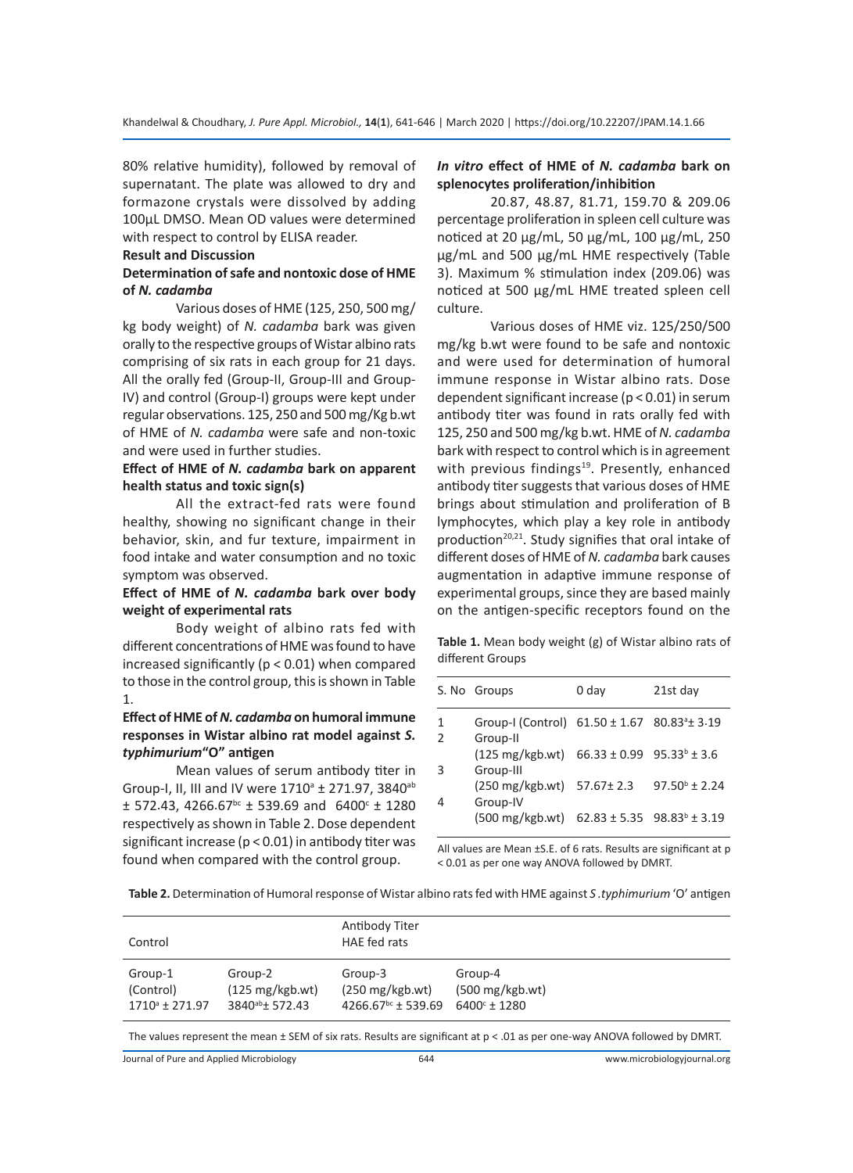80% relative humidity), followed by removal of supernatant. The plate was allowed to dry and formazone crystals were dissolved by adding 100µL DMSO. Mean OD values were determined with respect to control by ELISA reader.

#### **Result and Discussion**

#### **Determination of safe and nontoxic dose of HME of** *N. cadamba*

Various doses of HME (125, 250, 500 mg/ kg body weight) of *N. cadamba* bark was given orally to the respective groups of Wistar albino rats comprising of six rats in each group for 21 days. All the orally fed (Group-II, Group-III and Group-IV) and control (Group-I) groups were kept under regular observations. 125, 250 and 500 mg/Kg b.wt of HME of *N. cadamba* were safe and non-toxic and were used in further studies.

#### **Effect of HME of** *N. cadamba* **bark on apparent health status and toxic sign(s)**

All the extract-fed rats were found healthy, showing no significant change in their behavior, skin, and fur texture, impairment in food intake and water consumption and no toxic symptom was observed.

# **Effect of HME of** *N. cadamba* **bark over body weight of experimental rats**

Body weight of albino rats fed with different concentrations of HME was found to have increased significantly ( $p < 0.01$ ) when compared to those in the control group, this is shown in Table 1.

# **Effect of HME of** *N. cadamba* **on humoral immune responses in Wistar albino rat model against** *S. typhimurium***"O" antigen**

Mean values of serum antibody titer in Group-I, II, III and IV were 1710<sup>a</sup> ± 271.97, 3840<sup>ab</sup>  $± 572.43, 4266.67<sup>bc</sup> ± 539.69$  and  $6400<sup>c</sup> ± 1280$ respectively as shown in Table 2. Dose dependent significant increase (p < 0.01) in antibody titer was found when compared with the control group.

# *In vitro* **effect of HME of** *N. cadamba* **bark on splenocytes proliferation/inhibition**

20.87, 48.87, 81.71, 159.70 & 209.06 percentage proliferation in spleen cell culture was noticed at 20 µg/mL, 50 µg/mL, 100 µg/mL, 250 µg/mL and 500 µg/mL HME respectively (Table 3). Maximum % stimulation index (209.06) was noticed at 500 µg/mL HME treated spleen cell culture.

Various doses of HME viz. 125/250/500 mg/kg b.wt were found to be safe and nontoxic and were used for determination of humoral immune response in Wistar albino rats. Dose dependent significant increase (p < 0.01) in serum antibody titer was found in rats orally fed with 125, 250 and 500 mg/kg b.wt. HME of *N. cadamba* bark with respect to control which is in agreement with previous findings<sup>19</sup>. Presently, enhanced antibody titer suggests that various doses of HME brings about stimulation and proliferation of B lymphocytes, which play a key role in antibody production<sup>20,21</sup>. Study signifies that oral intake of different doses of HME of *N. cadamba* bark causes augmentation in adaptive immune response of experimental groups, since they are based mainly on the antigen-specific receptors found on the

**Table 1.** Mean body weight (g) of Wistar albino rats of different Groups

| 0 day<br>S. No Groups<br>Group-I (Control) 61.50 ± 1.67 80.83 <sup>a</sup> ± 3.19<br>1 |                        |
|----------------------------------------------------------------------------------------|------------------------|
|                                                                                        | 21st day               |
| $\overline{2}$<br>Group-II                                                             |                        |
| $(125 \text{ mg/kgb.wt})$ 66.33 ± 0.99 95.33 <sup>b</sup> ± 3.6<br>3<br>Group-III      |                        |
| (250 mg/kgb.wt) 57.67± 2.3<br>$\overline{4}$<br>Group-IV                               | $97.50^{\circ}$ ± 2.24 |
| $(500 \text{ mg/kgb.wt})$ 62.83 ± 5.35 98.83 <sup>b</sup> ± 3.19                       |                        |

All values are Mean ±S.E. of 6 rats. Results are significant at p < 0.01 as per one way ANOVA followed by DMRT.

**Table 2.** Determination of Humoral response of Wistar albino rats fed with HME against *S .typhimurium* 'O' antigen

| Control                 |                             | Antibody Titer<br>HAE fed rats   |                           |  |
|-------------------------|-----------------------------|----------------------------------|---------------------------|--|
| Group-1                 | Group-2                     | Group-3                          | Group-4                   |  |
| (Control)               | $(125 \text{ mg/kgb.wt})$   | $(250 \text{ mg/kgb.wt})$        | $(500 \text{ mg/kgb.wt})$ |  |
| $1710^{\circ}$ ± 271.97 | 3840 <sup>ab</sup> ± 572.43 | $4266.67$ <sup>bc</sup> ± 539.69 | $6400^{\circ}$ ± 1280     |  |

The values represent the mean ± SEM of six rats. Results are significant at p < .01 as per one-way ANOVA followed by DMRT.

Journal of Pure and Applied Microbiology

644 www.microbiologyjournal.org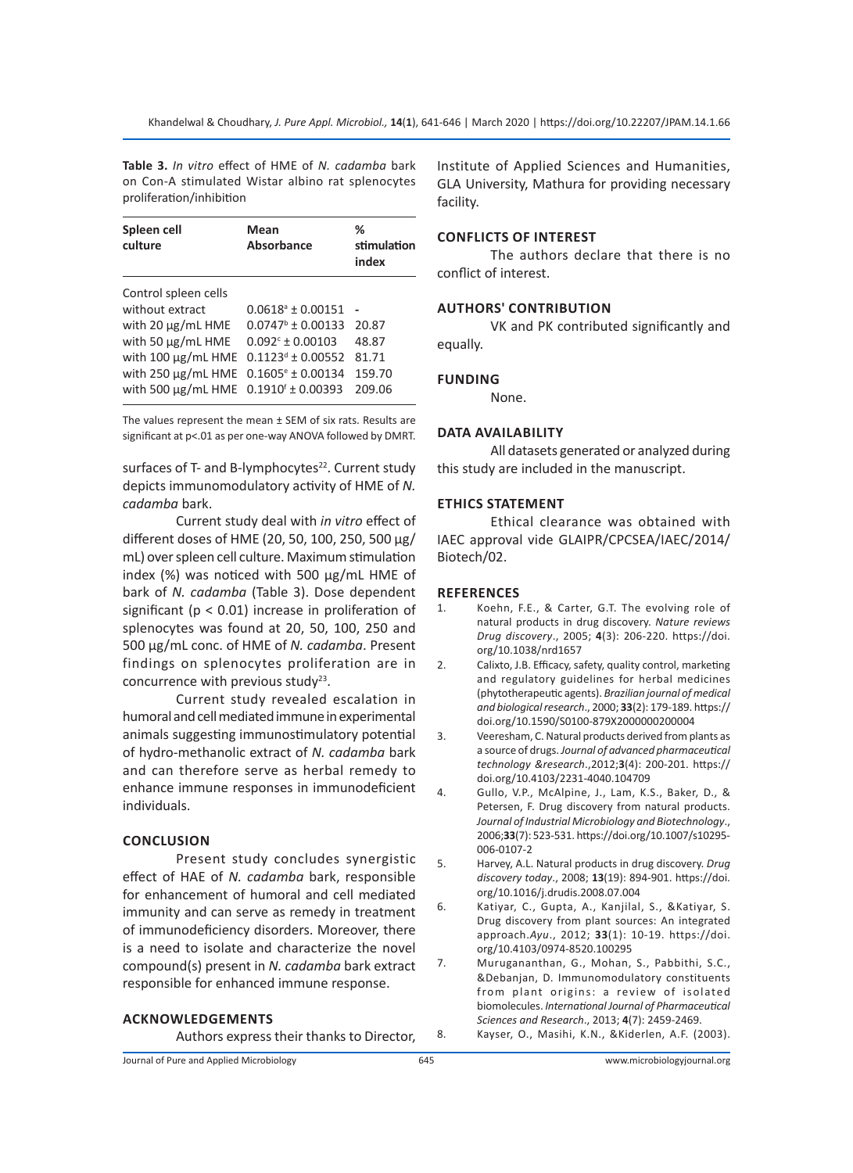**Table 3.** *In vitro* effect of HME of *N. cadamba* bark on Con-A stimulated Wistar albino rat splenocytes proliferation/inhibition

| Spleen cell<br>culture                           | Mean<br>Absorbance           | ℅<br>stimulation<br>index |
|--------------------------------------------------|------------------------------|---------------------------|
| Control spleen cells                             |                              |                           |
| without extract                                  | $0.0618^{\circ}$ ± 0.00151   |                           |
| with $20 \mu g/mL$ HME                           | $0.0747^{\circ}$ + 0.00133   | 20.87                     |
| with 50 µg/mL HME                                | $0.092c \pm 0.00103$         | 48.87                     |
| with 100 µg/mL HME                               | $0.1123^d \pm 0.00552$       | 81.71                     |
| with $250 \mu g/mL$ HME                          | $0.1605^{\circ} \pm 0.00134$ | 159.70                    |
| with 500 µg/mL HME 0.1910 <sup>f</sup> ± 0.00393 |                              | 209.06                    |

The values represent the mean ± SEM of six rats. Results are significant at p<.01 as per one-way ANOVA followed by DMRT.

surfaces of T- and B-lymphocytes $22$ . Current study depicts immunomodulatory activity of HME of *N. cadamba* bark.

Current study deal with *in vitro* effect of different doses of HME (20, 50, 100, 250, 500 µg/ mL) over spleen cell culture. Maximum stimulation index (%) was noticed with 500 µg/mL HME of bark of *N. cadamba* (Table 3). Dose dependent significant (p < 0.01) increase in proliferation of splenocytes was found at 20, 50, 100, 250 and 500 µg/mL conc. of HME of *N. cadamba*. Present findings on splenocytes proliferation are in concurrence with previous study $^{23}$ .

Current study revealed escalation in humoral and cell mediated immune in experimental animals suggesting immunostimulatory potential of hydro-methanolic extract of *N. cadamba* bark and can therefore serve as herbal remedy to enhance immune responses in immunodeficient individuals.

#### **CONCLUSION**

Present study concludes synergistic effect of HAE of *N. cadamba* bark, responsible for enhancement of humoral and cell mediated immunity and can serve as remedy in treatment of immunodeficiency disorders. Moreover, there is a need to isolate and characterize the novel compound(s) present in *N. cadamba* bark extract responsible for enhanced immune response.

#### **ACKNOWLEDGEMENTS**

Authors express their thanks to Director,

Institute of Applied Sciences and Humanities, GLA University, Mathura for providing necessary facility.

#### **CONFLICTS OF INTEREST**

The authors declare that there is no conflict of interest.

#### **AUTHORS' CONTRIBUTION**

VK and PK contributed significantly and equally.

#### **FUNDING**

None.

#### **DATA AVAILABILITY**

All datasets generated or analyzed during this study are included in the manuscript.

#### **ETHICS STATEMENT**

Ethical clearance was obtained with IAEC approval vide GLAIPR/CPCSEA/IAEC/2014/ Biotech/02.

#### **REFERENCES**

- 1. Koehn, F.E., & Carter, G.T. The evolving role of natural products in drug discovery. *Nature reviews Drug discovery*., 2005; **4**(3): 206-220. https://doi. org/10.1038/nrd1657
- 2. Calixto, J.B. Efficacy, safety, quality control, marketing and regulatory guidelines for herbal medicines (phytotherapeutic agents). *Brazilian journal of medical and biological research*., 2000; **33**(2): 179-189. https:// doi.org/10.1590/S0100-879X2000000200004
- 3. Veeresham, C. Natural products derived from plants as a source of drugs. *Journal of advanced pharmaceutical technology &research*.,2012;**3**(4): 200-201. https:// doi.org/10.4103/2231-4040.104709
- 4. Gullo, V.P., McAlpine, J., Lam, K.S., Baker, D., & Petersen, F. Drug discovery from natural products. *Journal of Industrial Microbiology and Biotechnology*., 2006;**33**(7): 523-531. https://doi.org/10.1007/s10295- 006-0107-2

5. Harvey, A.L. Natural products in drug discovery. *Drug discovery today*., 2008; **13**(19): 894-901. https://doi. org/10.1016/j.drudis.2008.07.004

- 6. Katiyar, C., Gupta, A., Kanjilal, S., &Katiyar, S. Drug discovery from plant sources: An integrated approach.*Ayu*., 2012; **33**(1): 10-19. https://doi. org/10.4103/0974-8520.100295
- 7. Murugananthan, G., Mohan, S., Pabbithi, S.C., &Debanjan, D. Immunomodulatory constituents from plant origins: a review of isolated biomolecules. *International Journal of Pharmaceutical Sciences and Research*., 2013; **4**(7): 2459-2469.
- 8. Kayser, O., Masihi, K.N., &Kiderlen, A.F. (2003).